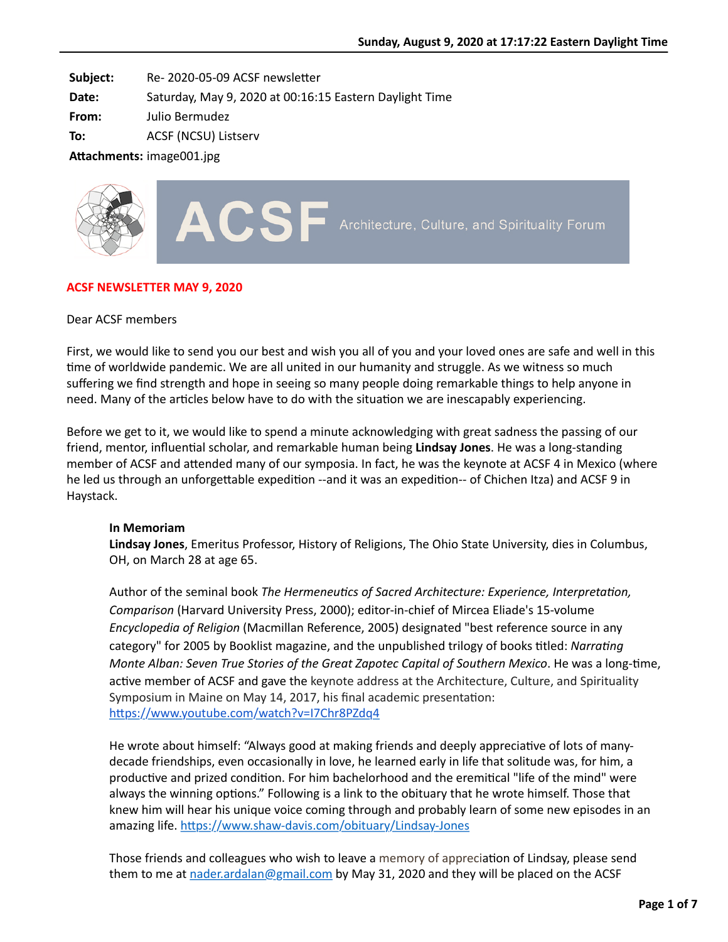**Subject:** Re- 2020-05-09 ACSF newsletter

**Date:** Saturday, May 9, 2020 at 00:16:15 Eastern Daylight Time

**From:** Julio Bermudez

**To:** ACSF (NCSU) Listserv

**Attachments:** image001.jpg



## **ACSF NEWSLETTER MAY 9, 2020**

### Dear ACSF members

First, we would like to send you our best and wish you all of you and your loved ones are safe and well in this time of worldwide pandemic. We are all united in our humanity and struggle. As we witness so much suffering we find strength and hope in seeing so many people doing remarkable things to help anyone in need. Many of the articles below have to do with the situation we are inescapably experiencing.

Before we get to it, we would like to spend a minute acknowledging with great sadness the passing of our friend, mentor, influential scholar, and remarkable human being **Lindsay Jones**. He was a long-standing member of ACSF and attended many of our symposia. In fact, he was the keynote at ACSF 4 in Mexico (where he led us through an unforgettable expedition --and it was an expedition-- of Chichen Itza) and ACSF 9 in Haystack.

### **In Memoriam**

**Lindsay Jones**, Emeritus Professor, History of Religions, The Ohio State University, dies in Columbus, OH, on March 28 at age 65.

Author of the seminal book *The Hermeneutics of Sacred Architecture: Experience, Interpretation, Comparison* (Harvard University Press, 2000); editor-in-chief of Mircea Eliade's 15-volume *Encyclopedia of Religion* (Macmillan Reference, 2005) designated "best reference source in any category" for 2005 by Booklist magazine, and the unpublished trilogy of books titled: *Narrating Monte Alban: Seven True Stories of the Great Zapotec Capital of Southern Mexico. He was a long-time,* active member of ACSF and gave the keynote address at the Architecture, Culture, and Spirituality Symposium in Maine on May 14, 2017, his final academic presentation: https://www.youtube.com/watch?v=I7Chr8PZdq4

He wrote about himself: "Always good at making friends and deeply appreciative of lots of manydecade friendships, even occasionally in love, he learned early in life that solitude was, for him, a productive and prized condition. For him bachelorhood and the eremitical "life of the mind" were always the winning options." Following is a link to the obituary that he wrote himself. Those that knew him will hear his unique voice coming through and probably learn of some new episodes in an amazing life. https://www.shaw-davis.com/obituary/Lindsay-Jones

Those friends and colleagues who wish to leave a memory of appreciation of Lindsay, please send them to me at [nader.ardalan@gmail.com](mailto:nader.ardalan@gmail.com) by May 31, 2020 and they will be placed on the ACSF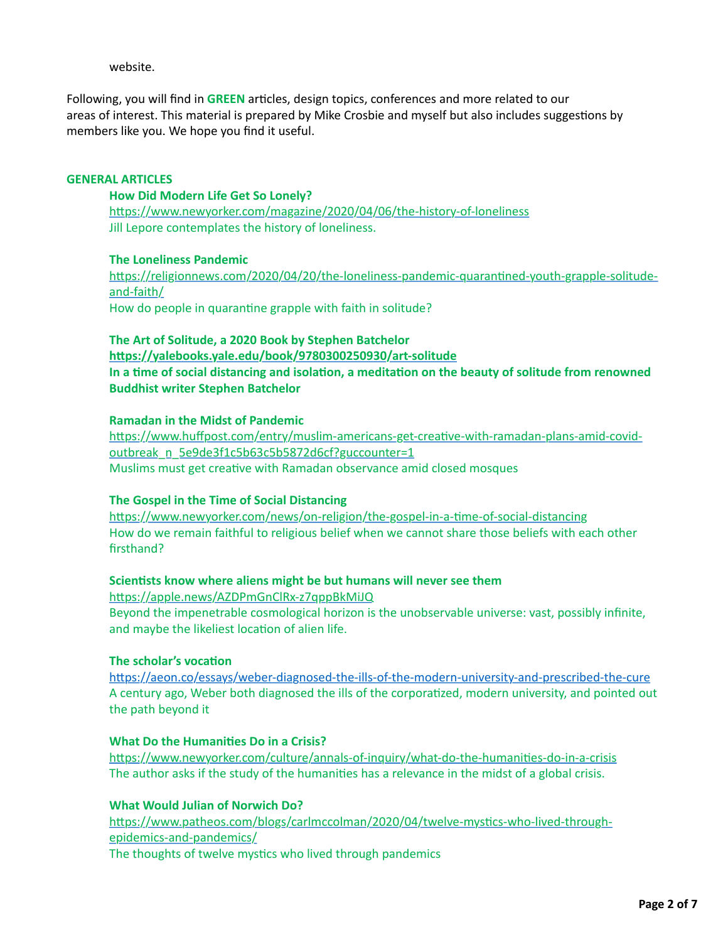website.

Following, you will find in GREEN articles, design topics, conferences and more related to our areas of interest. This material is prepared by Mike Crosbie and myself but also includes suggestions by members like you. We hope you find it useful.

### **GENERAL ARTICLES**

#### **How Did Modern Life Get So Lonely?**

https://www.newyorker.com/magazine/2020/04/06/the-history-of-loneliness Jill Lepore contemplates the history of loneliness.

### **The Loneliness Pandemic**

https://religionnews.com/2020/04/20/the-loneliness-pandemic-quarantined-youth-grapple-solitudeand-faith/

How do people in quarantine grapple with faith in solitude?

**The Art of Solitude, a 2020 Book by Stephen Batchelor** https://yalebooks.yale.edu/book/9780300250930/art-solitude In a time of social distancing and isolation, a meditation on the beauty of solitude from renowned **Buddhist writer Stephen Batchelor**

### **Ramadan in the Midst of Pandemic**

https://www.huffpost.com/entry/muslim-americans-get-creative-with-ramadan-plans-amid-covidoutbreak\_n\_5e9de3f1c5b63c5b5872d6cf?guccounter=1 Muslims must get creative with Ramadan observance amid closed mosques

### **The Gospel in the Time of Social Distancing**

https://www.newyorker.com/news/on-religion/the-gospel-in-a-time-of-social-distancing How do we remain faithful to religious belief when we cannot share those beliefs with each other firsthand?

### **Scientists know where aliens might be but humans will never see them**

https://apple.news/AZDPmGnClRx-z7qppBkMiJQ Beyond the impenetrable cosmological horizon is the unobservable universe: vast, possibly infinite, and maybe the likeliest location of alien life.

## **The scholar's vocation**

https://aeon.co/essays/weber-diagnosed-the-ills-of-the-modern-university-and-prescribed-the-cure A century ago, Weber both diagnosed the ills of the corporatized, modern university, and pointed out the path beyond it

## **What Do the Humanities Do in a Crisis?**

https://www.newyorker.com/culture/annals-of-inquiry/what-do-the-humanities-do-in-a-crisis The author asks if the study of the humanities has a relevance in the midst of a global crisis.

## **What Would Julian of Norwich Do?**

https://www.patheos.com/blogs/carlmccolman/2020/04/twelve-mystics-who-lived-throughepidemics-and-pandemics/ The thoughts of twelve mystics who lived through pandemics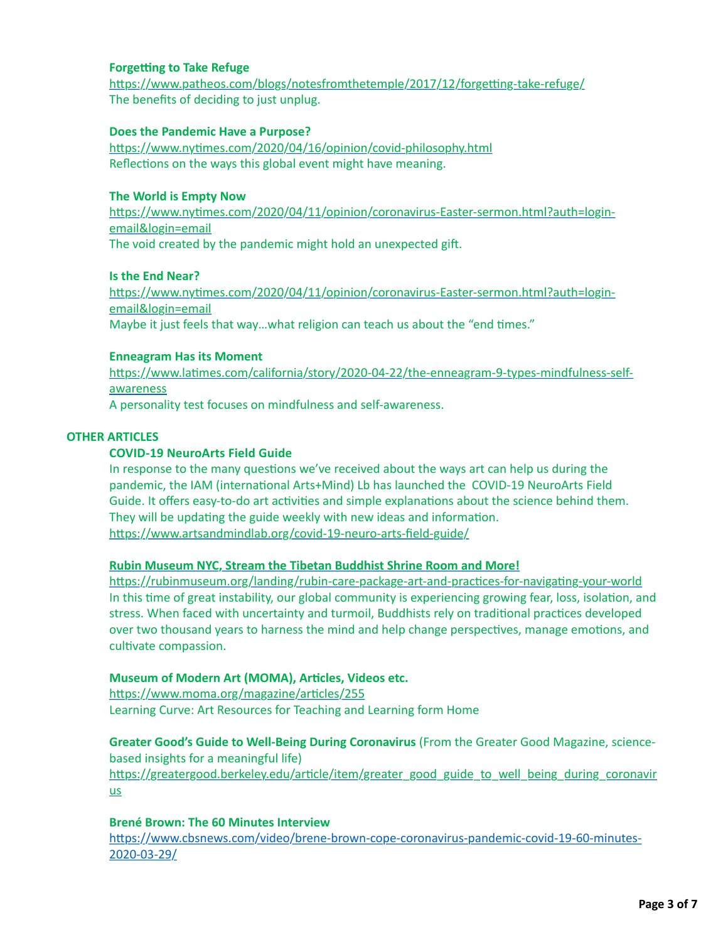### **Forgetting to Take Refuge**

https://www.patheos.com/blogs/notesfromthetemple/2017/12/forgetting-take-refuge/ The benefits of deciding to just unplug.

## **Does the Pandemic Have a Purpose?**

https://www.nytimes.com/2020/04/16/opinion/covid-philosophy.html Reflections on the ways this global event might have meaning.

## **The World is Empty Now**

https://www.nytimes.com/2020/04/11/opinion/coronavirus-Easter-sermon.html?auth=loginemail&login=email The void created by the pandemic might hold an unexpected gift.

### **Is the End Near?**

https://www.nytimes.com/2020/04/11/opinion/coronavirus-Easter-sermon.html?auth=loginemail&login=email Maybe it just feels that way...what religion can teach us about the "end times."

### **Enneagram Has its Moment**

https://www.latimes.com/california/story/2020-04-22/the-enneagram-9-types-mindfulness-selfawareness

A personality test focuses on mindfulness and self-awareness.

### **OTHER ARTICLES**

### **COVID-19 NeuroArts Field Guide**

In response to the many questions we've received about the ways art can help us during the pandemic, the IAM (international Arts+Mind) Lb has launched the COVID-19 NeuroArts Field Guide. It offers easy-to-do art activities and simple explanations about the science behind them. They will be updating the guide weekly with new ideas and information. https://www.artsandmindlab.org/covid-19-neuro-arts-field-guide/

### **Rubin Museum NYC, Stream the Tibetan Buddhist Shrine Room and More!**

https://rubinmuseum.org/landing/rubin-care-package-art-and-practices-for-navigating-your-world In this time of great instability, our global community is experiencing growing fear, loss, isolation, and stress. When faced with uncertainty and turmoil, Buddhists rely on traditional practices developed over two thousand years to harness the mind and help change perspectives, manage emotions, and cultivate compassion.

# **Museum of Modern Art (MOMA), Articles, Videos etc.**

https://www.moma.org/magazine/articles/255 Learning Curve: Art Resources for Teaching and Learning form Home

**Greater Good's Guide to Well-Being During Coronavirus** (From the Greater Good Magazine, sciencebased insights for a meaningful life)

https://greatergood.berkeley.edu/article/item/greater\_good\_guide\_to\_well\_being\_during\_coronavir us

### **Brené Brown: The 60 Minutes Interview**

https://www.cbsnews.com/video/brene-brown-cope-coronavirus-pandemic-covid-19-60-minutes-2020-03-29/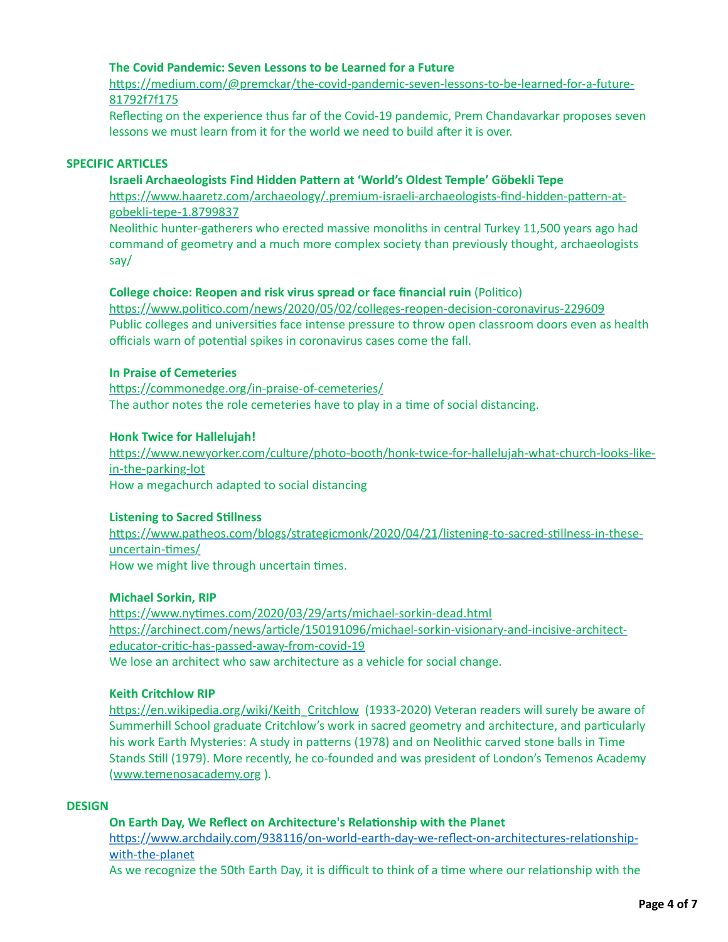## **The Covid Pandemic: Seven Lessons to be Learned for a Future**

https://medium.com/@premckar/the-covid-pandemic-seven-lessons-to-be-learned-for-a-future-81792f7f175

Reflecting on the experience thus far of the Covid-19 pandemic, Prem Chandavarkar proposes seven lessons we must learn from it for the world we need to build after it is over.

### **SPECIFIC ARTICLES**

### **Israeli Archaeologists Find Hidden Pattern at 'World's Oldest Temple' Göbekli Tepe**

https://www.haaretz.com/archaeology/.premium-israeli-archaeologists-find-hidden-pattern-atgobekli-tepe-1.8799837

Neolithic hunter-gatherers who erected massive monoliths in central Turkey 11,500 years ago had command of geometry and a much more complex society than previously thought, archaeologists say/

### **College choice: Reopen and risk virus spread or face financial ruin (Politico)**

https://www.politico.com/news/2020/05/02/colleges-reopen-decision-coronavirus-229609 Public colleges and universities face intense pressure to throw open classroom doors even as health officials warn of potential spikes in coronavirus cases come the fall.

## **In Praise of Cemeteries**

https://commonedge.org/in-praise-of-cemeteries/ The author notes the role cemeteries have to play in a time of social distancing.

### **Honk Twice for Hallelujah!**

https://www.newyorker.com/culture/photo-booth/honk-twice-for-hallelujah-what-church-looks-likein-the-parking-lot How a megachurch adapted to social distancing

#### **Listening to Sacred Stillness**

https://www.patheos.com/blogs/strategicmonk/2020/04/21/listening-to-sacred-stillness-in-theseuncertain-times/ How we might live through uncertain times.

### **Michael Sorkin, RIP**

https://www.nytimes.com/2020/03/29/arts/michael-sorkin-dead.html https://archinect.com/news/article/150191096/michael-sorkin-visionary-and-incisive-architecteducator-critic-has-passed-away-from-covid-19 We lose an architect who saw architecture as a vehicle for social change.

#### **Keith Critchlow RIP**

https://en.wikipedia.org/wiki/Keith\_Critchlow (1933-2020) Veteran readers will surely be aware of Summerhill School graduate Critchlow's work in sacred geometry and architecture, and particularly his work Earth Mysteries: A study in patterns (1978) and on Neolithic carved stone balls in Time Stands Still (1979). More recently, he co-founded and was president of London's Temenos Academy [\(www.temenosacademy.org](http://www.temenosacademy.org/) ).

#### **DESIGN**

### **On Earth Day, We Reflect on Architecture's Relationship with the Planet**

https://www.archdaily.com/938116/on-world-earth-day-we-reflect-on-architectures-relationshipwith-the-planet

As we recognize the 50th Earth Day, it is difficult to think of a time where our relationship with the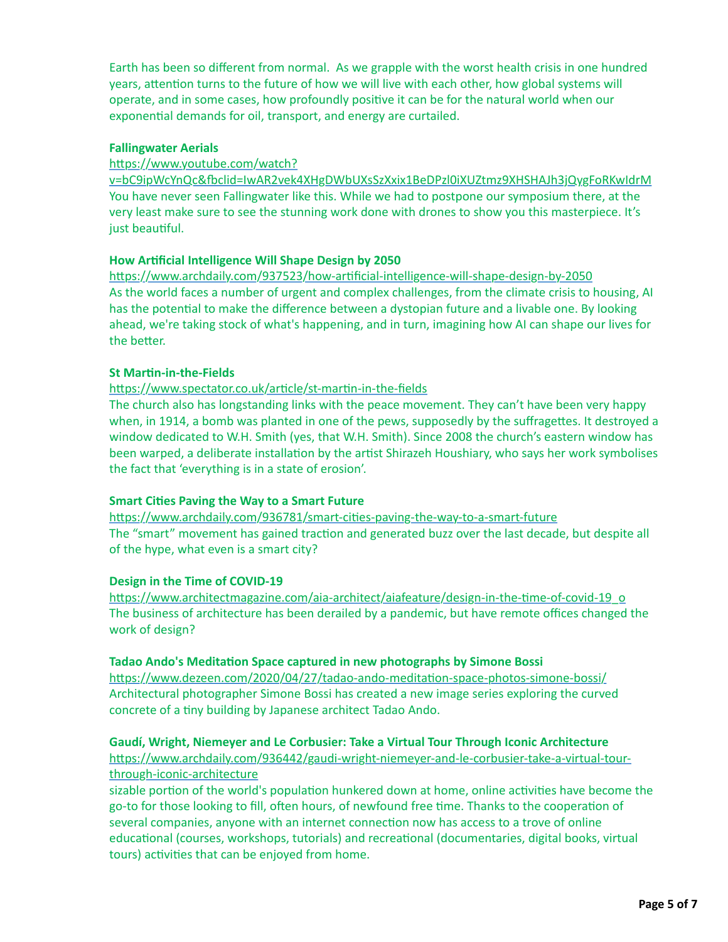Earth has been so different from normal. As we grapple with the worst health crisis in one hundred years, attention turns to the future of how we will live with each other, how global systems will operate, and in some cases, how profoundly positive it can be for the natural world when our exponential demands for oil, transport, and energy are curtailed.

## **Fallingwater Aerials**

## https://www.youtube.com/watch?

v=bC9ipWcYnQc&fbclid=IwAR2vek4XHgDWbUXsSzXxix1BeDPzl0iXUZtmz9XHSHAJh3jQygFoRKwIdrM You have never seen Fallingwater like this. While we had to postpone our symposium there, at the very least make sure to see the stunning work done with drones to show you this masterpiece. It's just beautiful.

## **How Artificial Intelligence Will Shape Design by 2050**

https://www.archdaily.com/937523/how-artificial-intelligence-will-shape-design-by-2050 As the world faces a number of urgent and complex challenges, from the climate crisis to housing, AI has the potential to make the difference between a dystopian future and a livable one. By looking ahead, we're taking stock of what's happening, and in turn, imagining how AI can shape our lives for the better.

## **St Martin-in-the-Fields**

https://www.spectator.co.uk/article/st-martin-in-the-fields

The church also has longstanding links with the peace movement. They can't have been very happy when, in 1914, a bomb was planted in one of the pews, supposedly by the suffragettes. It destroyed a window dedicated to W.H. Smith (yes, that W.H. Smith). Since 2008 the church's eastern window has been warped, a deliberate installation by the artist Shirazeh Houshiary, who says her work symbolises the fact that 'everything is in a state of erosion'.

# **Smart Cities Paving the Way to a Smart Future**

https://www.archdaily.com/936781/smart-cities-paving-the-way-to-a-smart-future The "smart" movement has gained traction and generated buzz over the last decade, but despite all of the hype, what even is a smart city?

### **Design in the Time of COVID-19**

https://www.architectmagazine.com/aia-architect/aiafeature/design-in-the-time-of-covid-19\_o The business of architecture has been derailed by a pandemic, but have remote offices changed the work of design?

### **Tadao Ando's Meditation Space captured in new photographs by Simone Bossi**

https://www.dezeen.com/2020/04/27/tadao-ando-meditation-space-photos-simone-bossi/ Architectural photographer Simone Bossi has created a new image series exploring the curved concrete of a tiny building by Japanese architect Tadao Ando.

# **Gaudí, Wright, Niemeyer and Le Corbusier: Take a Virtual Tour Through Iconic Architecture**

https://www.archdaily.com/936442/gaudi-wright-niemeyer-and-le-corbusier-take-a-virtual-tourthrough-iconic-architecture

sizable portion of the world's population hunkered down at home, online activities have become the go-to for those looking to fill, often hours, of newfound free time. Thanks to the cooperation of several companies, anyone with an internet connection now has access to a trove of online educational (courses, workshops, tutorials) and recreational (documentaries, digital books, virtual tours) activities that can be enjoyed from home.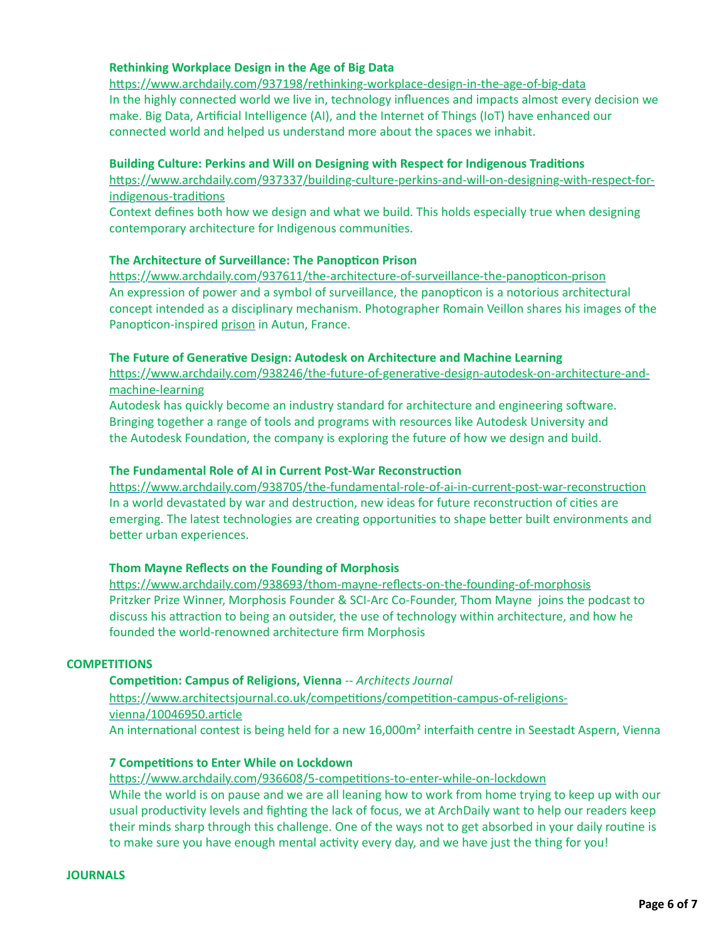## **Rethinking Workplace Design in the Age of Big Data**

https://www.archdaily.com/937198/rethinking-workplace-design-in-the-age-of-big-data In the highly connected world we live in, technology influences and impacts almost every decision we make. Big Data, Artificial Intelligence (AI), and the Internet of Things (IoT) have enhanced our connected world and helped us understand more about the spaces we inhabit.

### **Building Culture: Perkins and Will on Designing with Respect for Indigenous Traditions**

https://www.archdaily.com/937337/building-culture-perkins-and-will-on-designing-with-respect-forindigenous-traditions

Context defines both how we design and what we build. This holds especially true when designing contemporary architecture for Indigenous communities.

### **The Architecture of Surveillance: The Panopticon Prison**

https://www.archdaily.com/937611/the-architecture-of-surveillance-the-panopticon-prison An expression of power and a symbol of surveillance, the panopticon is a notorious architectural concept intended as a disciplinary mechanism. Photographer Romain Veillon shares his images of the Panopticon-inspired [prison](https://www.archdaily.com/tag/prisons) in Autun, France.

### **The Future of Generative Design: Autodesk on Architecture and Machine Learning**

https://www.archdaily.com/938246/the-future-of-generative-design-autodesk-on-architecture-andmachine-learning

Autodesk has quickly become an industry standard for architecture and engineering software. Bringing together a range of tools and programs with resources like Autodesk University and the Autodesk Foundation, the company is exploring the future of how we design and build.

## **The Fundamental Role of AI in Current Post-War Reconstruction**

https://www.archdaily.com/938705/the-fundamental-role-of-ai-in-current-post-war-reconstruction In a world devastated by war and destruction, new ideas for future reconstruction of cities are emerging. The latest technologies are creating opportunities to shape better built environments and better urban experiences.

### **Thom Mayne Reflects on the Founding of Morphosis**

https://www.archdaily.com/938693/thom-mayne-reflects-on-the-founding-of-morphosis Pritzker Prize Winner, Morphosis Founder & SCI-Arc Co-Founder, Thom Mayne joins the podcast to discuss his attraction to being an outsider, the use of technology within architecture, and how he founded the world-renowned architecture firm Morphosis

### **COMPETITIONS**

### **Competition: Campus of Religions, Vienna -- Architects Journal**

https://www.architectsjournal.co.uk/competitions/competition-campus-of-religionsvienna/10046950.article An international contest is being held for a new 16,000m<sup>2</sup> interfaith centre in Seestadt Aspern, Vienna

### **7 Competitions to Enter While on Lockdown**

https://www.archdaily.com/936608/5-competitions-to-enter-while-on-lockdown While the world is on pause and we are all leaning how to work from home trying to keep up with our usual productivity levels and fighting the lack of focus, we at ArchDaily want to help our readers keep their minds sharp through this challenge. One of the ways not to get absorbed in your daily routine is to make sure you have enough mental activity every day, and we have just the thing for you!